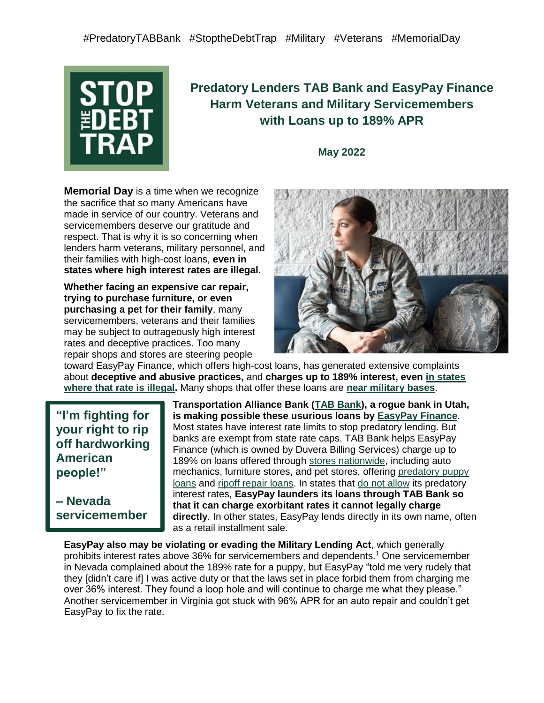

# **Predatory Lenders TAB Bank and EasyPay Finance Harm Veterans and Military Servicemembers with Loans up to 189% APR**

**May 2022**

**Memorial Day** is a time when we recognize the sacrifice that so many Americans have made in service of our country. Veterans and servicemembers deserve our gratitude and respect. That is why it is so concerning when lenders harm veterans, military personnel, and their families with high-cost loans, **even in states where high interest rates are illegal.**

**Whether facing an expensive car repair, trying to purchase furniture, or even purchasing a pet for their family**, many servicemembers, veterans and their families may be subject to outrageously high interest rates and deceptive practices. Too many repair shops and stores are steering people



toward [EasyPay Finance,](https://www.easypayfinance.com/) which offers high-cost loans, has generated extensive complaints about **deceptive and abusive practices,** and **charges up to 189% interest, eve[n](https://www.nclc.org/issues/high-cost-small-loans/rent-a-bank-loan-watch-list.html) [in states](https://bit.ly/rentabank-watch-list)  [where that rate is](https://bit.ly/rentabank-watch-list) illegal.** Many shops that offer these loans are **[near military bases](https://docs.google.com/document/d/1xgNv2SMPNqOd58foKP2_ODBx4xoKZkik_Ji9uiXYq7I/edit)**.

**"I'm fighting for your right to rip off hardworking American people!"**

**– Nevada servicemember**

**Transportation Alliance Bank [\(TAB Bank\)](https://www.tabbank.com/), a rogue bank in Utah, is making possible these usurious loans b[y](https://www.easypayfinance.com/) [EasyPay Finance](https://www.easypayfinance.com/)**. Most states have interest rate limits to stop predatory lending. But banks are exempt from state rate caps. TAB Bank helps EasyPay Finance (which is owned by Duvera Billing Services) charge up to 189% on loans offered throug[h](https://findastore.easypayfinance.com/web?p=wwoJgh8mIXLc92ARiufL0A%3D%3D) [stores nationwide,](https://findastore.easypayfinance.com/web?p=wwoJgh8mIXLc92ARiufL0A%3D%3D) including auto mechanics, furniture stores, and pet stores, offering [predatory puppy](https://www.nclc.org/media-center/predatory-loans-for-puppies-must-be-stopped-say-consumer-and-animal-welfare-advocates.html)  [loans](https://www.nclc.org/media-center/predatory-loans-for-puppies-must-be-stopped-say-consumer-and-animal-welfare-advocates.html) and [ripoff repair loans.](https://www.nclc.org/media-center/new-report-and-consumer-alert-flag-deceptive-auto-repair-financing-practices.html) In s[t](https://bit.ly/rentabank-watch-list)ates that [do not allow](https://bit.ly/rentabank-watch-list) its predatory interest rates, **EasyPay launders its loans through TAB Bank so that it can charge exorbitant rates it cannot legally charge directly**. In other states, EasyPay lends directly in its own name, often as a retail installment sale.

**EasyPay also may be violating or evading the Military Lending Act**, which generally prohibits interest rates above 36% for servicemembers and dependents.<sup>1</sup> One servicemember in Nevada complained about the 189% rate for a puppy, but EasyPay "told me very rudely that they [didn't care if] I was active duty or that the laws set in place forbid them from charging me over 36% interest. They found a loop hole and will continue to charge me what they please." Another servicemember in Virginia got stuck with 96% APR for an auto repair and couldn't get EasyPay to fix the rate.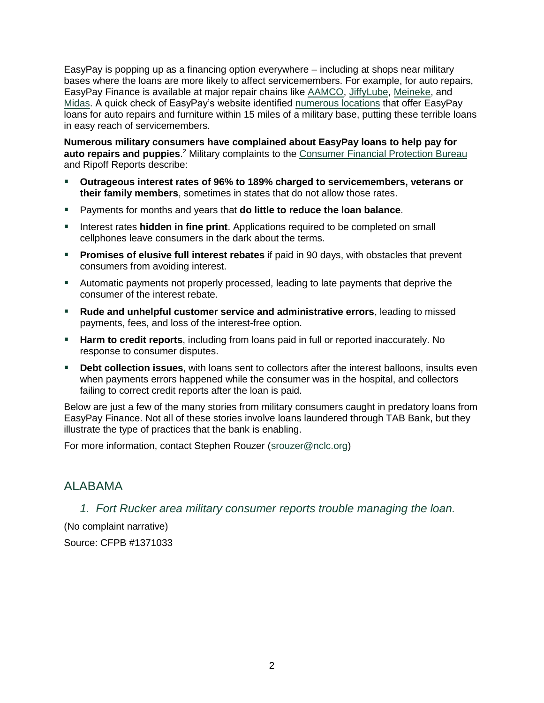EasyPay is popping up as a financing option everywhere – including at shops near military bases where the loans are more likely to affect servicemembers. For example, for auto repairs, EasyPay Finance is available at major repair chains lik[e](https://www.aamco.com/Financing) [AAMCO,](https://www.aamco.com/Financing) [JiffyLube](https://jiffyautoservice.com/tire-and-service-financing)[,](https://www.meineke.com/about/meineke-credit-card/) [Meineke,](https://www.meineke.com/about/meineke-credit-card/) an[d](https://www.midas.com/about-midas/midas-credit-card-service-financing) [Midas.](https://www.midas.com/about-midas/midas-credit-card-service-financing) A quick check of EasyPay's website identified [numerous locations](https://docs.google.com/document/d/1xgNv2SMPNqOd58foKP2_ODBx4xoKZkik_Ji9uiXYq7I/edit) that offer EasyPay loans for auto repairs and furniture within 15 miles of a military base, putting these terrible loans in easy reach of servicemembers.

**Numerous military consumers have complained about EasyPay loans to help pay for auto repairs and puppies**. <sup>2</sup> Military complaints to th[e](https://www.consumerfinance.gov/data-research/consumer-complaints/search/?date_received_max=2022-02-10&date_received_min=2011-12-01&has_narrative=true&page=1&searchField=all&size=25&sort=created_date_desc&tab=List) [Consumer Financial Protection Bureau](https://www.consumerfinance.gov/data-research/consumer-complaints/search/?date_received_max=2022-02-10&date_received_min=2011-12-01&has_narrative=true&page=1&searchField=all&size=25&sort=created_date_desc&tab=List) and Ripoff Reports describe:

- **Outrageous interest rates of 96% to 189% charged to servicemembers, veterans or their family members**, sometimes in states that do not allow those rates.
- Payments for months and years that **do little to reduce the loan balance**.
- **EXED Interest rates hidden in fine print.** Applications required to be completed on small cellphones leave consumers in the dark about the terms.
- **Promises of elusive full interest rebates** if paid in 90 days, with obstacles that prevent consumers from avoiding interest.
- **E** Automatic payments not properly processed, leading to late payments that deprive the consumer of the interest rebate.
- **Rude and unhelpful customer service and administrative errors**, leading to missed payments, fees, and loss of the interest-free option.
- **EXTER 15 Harm to credit reports**, including from loans paid in full or reported inaccurately. No response to consumer disputes.
- **Debt collection issues**, with loans sent to collectors after the interest balloons, insults even when payments errors happened while the consumer was in the hospital, and collectors failing to correct credit reports after the loan is paid.

Below are just a few of the many stories from military consumers caught in predatory loans from EasyPay Finance. Not all of these stories involve loans laundered through TAB Bank, but they illustrate the type of practices that the bank is enabling.

For more information, contact Stephen Rouzer [\(srouzer@nclc.org\)](mailto:srouzer@nclc.org)

## ALABAMA

*1. Fort Rucker area military consumer reports trouble managing the loan.*

(No complaint narrative) Source: CFPB #1371033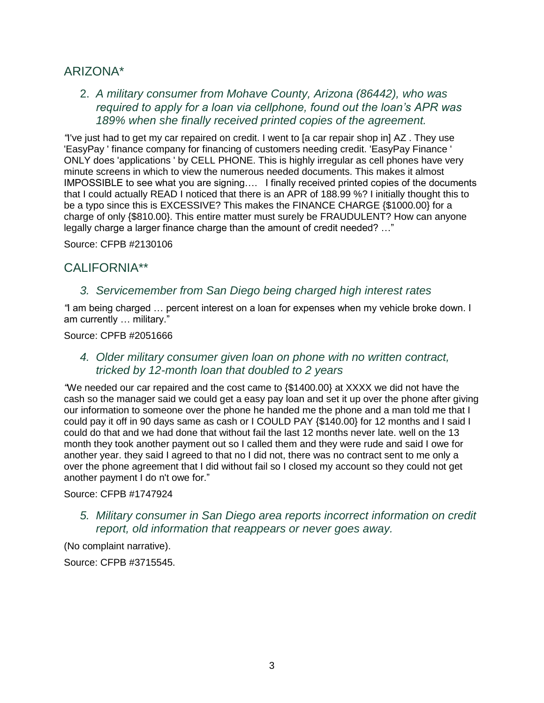# ARIZONA\*

2. *A military consumer from Mohave County, Arizona (86442), who was required to apply for a loan via cellphone, found out the loan's APR was 189% when she finally received printed copies of the agreement.*

*"*I've just had to get my car repaired on credit. I went to [a car repair shop in] AZ . They use 'EasyPay ' finance company for financing of customers needing credit. 'EasyPay Finance ' ONLY does 'applications ' by CELL PHONE. This is highly irregular as cell phones have very minute screens in which to view the numerous needed documents. This makes it almost IMPOSSIBLE to see what you are signing…. I finally received printed copies of the documents that I could actually READ I noticed that there is an APR of 188.99 %? I initially thought this to be a typo since this is EXCESSIVE? This makes the FINANCE CHARGE {\$1000.00} for a charge of only {\$810.00}. This entire matter must surely be FRAUDULENT? How can anyone legally charge a larger finance charge than the amount of credit needed? …"

Source: CFPB #2130106

# CALIFORNIA\*\*

#### *3. Servicemember from San Diego being charged high interest rates*

*"*I am being charged … percent interest on a loan for expenses when my vehicle broke down. I am currently … military."

Source: CPFB #2051666

#### *4. Older military consumer given loan on phone with no written contract, tricked by 12-month loan that doubled to 2 years*

*"*We needed our car repaired and the cost came to {\$1400.00} at XXXX we did not have the cash so the manager said we could get a easy pay loan and set it up over the phone after giving our information to someone over the phone he handed me the phone and a man told me that I could pay it off in 90 days same as cash or I COULD PAY {\$140.00} for 12 months and I said I could do that and we had done that without fail the last 12 months never late. well on the 13 month they took another payment out so I called them and they were rude and said I owe for another year. they said I agreed to that no I did not, there was no contract sent to me only a over the phone agreement that I did without fail so I closed my account so they could not get another payment I do n't owe for."

#### Source: CFPB #1747924

*5. Military consumer in San Diego area reports incorrect information on credit report, old information that reappears or never goes away.*

(No complaint narrative).

Source: CFPB #3715545.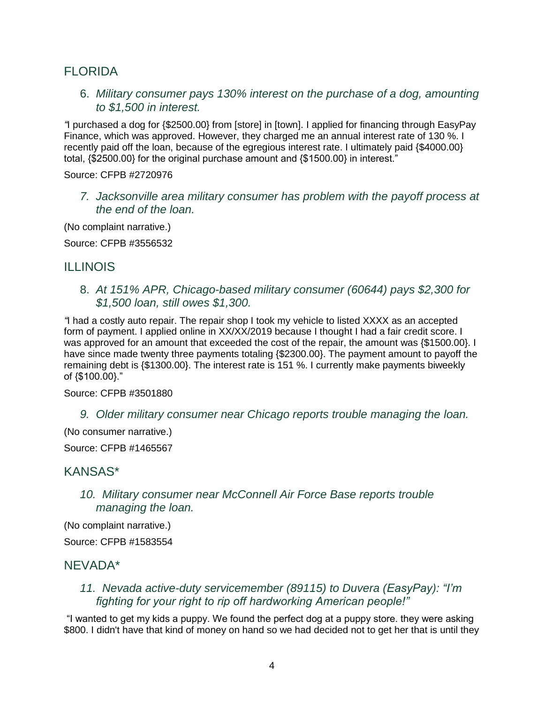# FLORIDA

6. *Military consumer pays 130% interest on the purchase of a dog, amounting to \$1,500 in interest.*

*"*I purchased a dog for {\$2500.00} from [store] in [town]. I applied for financing through EasyPay Finance, which was approved. However, they charged me an annual interest rate of 130 %. I recently paid off the loan, because of the egregious interest rate. I ultimately paid {\$4000.00} total, {\$2500.00} for the original purchase amount and {\$1500.00} in interest."

Source: CFPB #2720976

*7. Jacksonville area military consumer has problem with the payoff process at the end of the loan.*

(No complaint narrative.)

Source: CFPB #3556532

## ILLINOIS

8. *At 151% APR, Chicago-based military consumer (60644) pays \$2,300 for \$1,500 loan, still owes \$1,300.*

*"*I had a costly auto repair. The repair shop I took my vehicle to listed XXXX as an accepted form of payment. I applied online in XX/XX/2019 because I thought I had a fair credit score. I was approved for an amount that exceeded the cost of the repair, the amount was {\$1500.00}. I have since made twenty three payments totaling {\$2300.00}. The payment amount to payoff the remaining debt is {\$1300.00}. The interest rate is 151 %. I currently make payments biweekly of {\$100.00}."

Source: CFPB #3501880

*9. Older military consumer near Chicago reports trouble managing the loan.*

(No consumer narrative.)

Source: CFPB #1465567

## KANSAS\*

*10. Military consumer near McConnell Air Force Base reports trouble managing the loan.*

(No complaint narrative.)

Source: CFPB #1583554

## NEVADA\*

*11. Nevada active-duty servicemember (89115) to Duvera (EasyPay): "I'm fighting for your right to rip off hardworking American people!"*

"I wanted to get my kids a puppy. We found the perfect dog at a puppy store. they were asking \$800. I didn't have that kind of money on hand so we had decided not to get her that is until they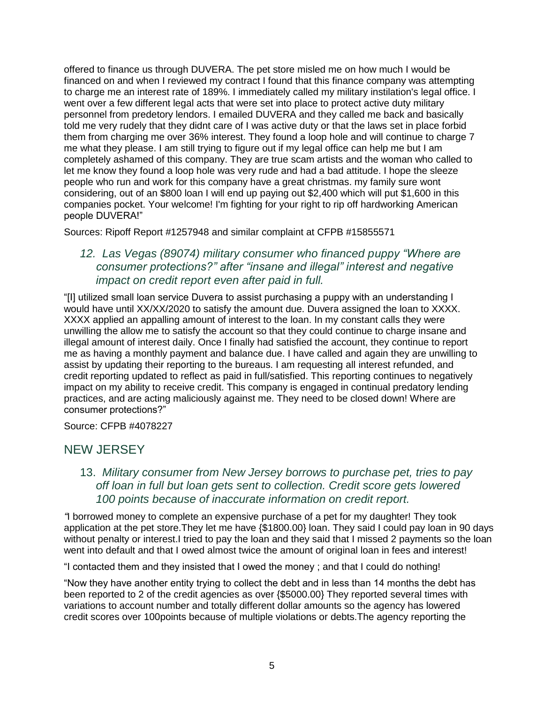offered to finance us through DUVERA. The pet store misled me on how much I would be financed on and when I reviewed my contract I found that this finance company was attempting to charge me an interest rate of 189%. I immediately called my military instilation's legal office. I went over a few different legal acts that were set into place to protect active duty military personnel from predetory lendors. I emailed DUVERA and they called me back and basically told me very rudely that they didnt care of I was active duty or that the laws set in place forbid them from charging me over 36% interest. They found a loop hole and will continue to charge 7 me what they please. I am still trying to figure out if my legal office can help me but I am completely ashamed of this company. They are true scam artists and the woman who called to let me know they found a loop hole was very rude and had a bad attitude. I hope the sleeze people who run and work for this company have a great christmas. my family sure wont considering, out of an \$800 loan I will end up paying out \$2,400 which will put \$1,600 in this companies pocket. Your welcome! I'm fighting for your right to rip off hardworking American people DUVERA!"

Sources: Ripoff Report #1257948 and similar complaint at CFPB #15855571

#### *12. Las Vegas (89074) military consumer who financed puppy "Where are consumer protections?" after "insane and illegal" interest and negative impact on credit report even after paid in full.*

"[I] utilized small loan service Duvera to assist purchasing a puppy with an understanding I would have until XX/XX/2020 to satisfy the amount due. Duvera assigned the loan to XXXX. XXXX applied an appalling amount of interest to the loan. In my constant calls they were unwilling the allow me to satisfy the account so that they could continue to charge insane and illegal amount of interest daily. Once I finally had satisfied the account, they continue to report me as having a monthly payment and balance due. I have called and again they are unwilling to assist by updating their reporting to the bureaus. I am requesting all interest refunded, and credit reporting updated to reflect as paid in full/satisfied. This reporting continues to negatively impact on my ability to receive credit. This company is engaged in continual predatory lending practices, and are acting maliciously against me. They need to be closed down! Where are consumer protections?"

Source: CFPB #4078227

## NEW JERSEY

13. *Military consumer from New Jersey borrows to purchase pet, tries to pay off loan in full but loan gets sent to collection. Credit score gets lowered 100 points because of inaccurate information on credit report.*

*"*I borrowed money to complete an expensive purchase of a pet for my daughter! They took application at the pet store.They let me have {\$1800.00} loan. They said I could pay loan in 90 days without penalty or interest.I tried to pay the loan and they said that I missed 2 payments so the loan went into default and that I owed almost twice the amount of original loan in fees and interest!

"I contacted them and they insisted that I owed the money ; and that I could do nothing!

"Now they have another entity trying to collect the debt and in less than 14 months the debt has been reported to 2 of the credit agencies as over {\$5000.00} They reported several times with variations to account number and totally different dollar amounts so the agency has lowered credit scores over 100points because of multiple violations or debts.The agency reporting the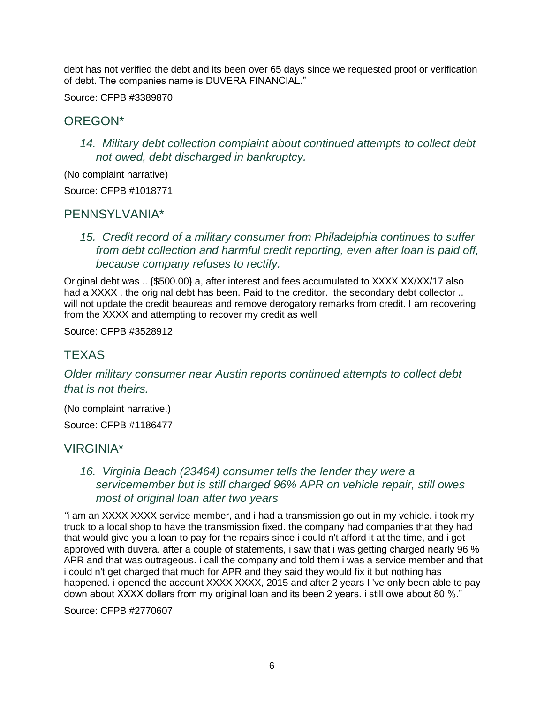debt has not verified the debt and its been over 65 days since we requested proof or verification of debt. The companies name is DUVERA FINANCIAL."

Source: CFPB #3389870

# OREGON\*

*14. Military debt collection complaint about continued attempts to collect debt not owed, debt discharged in bankruptcy.*

(No complaint narrative)

Source: CFPB #1018771

## PENNSYLVANIA\*

*15. Credit record of a military consumer from Philadelphia continues to suffer from debt collection and harmful credit reporting, even after loan is paid off, because company refuses to rectify.*

Original debt was .. {\$500.00} a, after interest and fees accumulated to XXXX XX/XX/17 also had a XXXX . the original debt has been. Paid to the creditor. the secondary debt collector .. will not update the credit beaureas and remove derogatory remarks from credit. I am recovering from the XXXX and attempting to recover my credit as well

Source: CFPB #3528912

# **TEXAS**

*Older military consumer near Austin reports continued attempts to collect debt that is not theirs.*

(No complaint narrative.)

Source: CFPB #1186477

## VIRGINIA\*

#### *16. Virginia Beach (23464) consumer tells the lender they were a servicemember but is still charged 96% APR on vehicle repair, still owes most of original loan after two years*

*"*i am an XXXX XXXX service member, and i had a transmission go out in my vehicle. i took my truck to a local shop to have the transmission fixed. the company had companies that they had that would give you a loan to pay for the repairs since i could n't afford it at the time, and i got approved with duvera. after a couple of statements, i saw that i was getting charged nearly 96 % APR and that was outrageous. i call the company and told them i was a service member and that i could n't get charged that much for APR and they said they would fix it but nothing has happened. i opened the account XXXX XXXX, 2015 and after 2 years I 've only been able to pay down about XXXX dollars from my original loan and its been 2 years. i still owe about 80 %."

Source: CFPB #2770607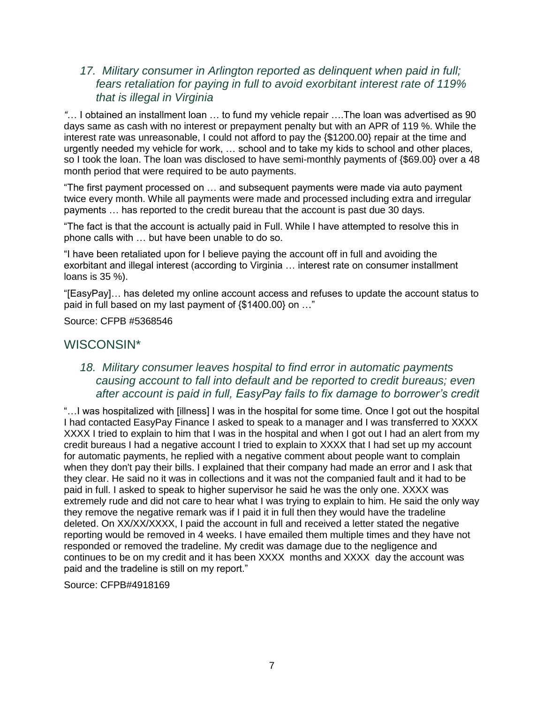#### *17. Military consumer in Arlington reported as delinquent when paid in full; fears retaliation for paying in full to avoid exorbitant interest rate of 119% that is illegal in Virginia*

*"*… I obtained an installment loan … to fund my vehicle repair ….The loan was advertised as 90 days same as cash with no interest or prepayment penalty but with an APR of 119 %. While the interest rate was unreasonable, I could not afford to pay the {\$1200.00} repair at the time and urgently needed my vehicle for work, … school and to take my kids to school and other places, so I took the loan. The loan was disclosed to have semi-monthly payments of {\$69.00} over a 48 month period that were required to be auto payments.

"The first payment processed on … and subsequent payments were made via auto payment twice every month. While all payments were made and processed including extra and irregular payments … has reported to the credit bureau that the account is past due 30 days.

"The fact is that the account is actually paid in Full. While I have attempted to resolve this in phone calls with … but have been unable to do so.

"I have been retaliated upon for I believe paying the account off in full and avoiding the exorbitant and illegal interest (according to Virginia … interest rate on consumer installment loans is 35 %).

"[EasyPay]… has deleted my online account access and refuses to update the account status to paid in full based on my last payment of  $\{\$1400.00\}$  on ..."

Source: CFPB #5368546

## WISCONSIN\*

#### *18. Military consumer leaves hospital to find error in automatic payments causing account to fall into default and be reported to credit bureaus; even after account is paid in full, EasyPay fails to fix damage to borrower's credit*

"…I was hospitalized with [illness] I was in the hospital for some time. Once I got out the hospital I had contacted EasyPay Finance I asked to speak to a manager and I was transferred to XXXX XXXX I tried to explain to him that I was in the hospital and when I got out I had an alert from my credit bureaus I had a negative account I tried to explain to XXXX that I had set up my account for automatic payments, he replied with a negative comment about people want to complain when they don't pay their bills. I explained that their company had made an error and I ask that they clear. He said no it was in collections and it was not the companied fault and it had to be paid in full. I asked to speak to higher supervisor he said he was the only one. XXXX was extremely rude and did not care to hear what I was trying to explain to him. He said the only way they remove the negative remark was if I paid it in full then they would have the tradeline deleted. On XX/XX/XXXX, I paid the account in full and received a letter stated the negative reporting would be removed in 4 weeks. I have emailed them multiple times and they have not responded or removed the tradeline. My credit was damage due to the negligence and continues to be on my credit and it has been XXXX months and XXXX day the account was paid and the tradeline is still on my report."

Source: CFPB#4918169